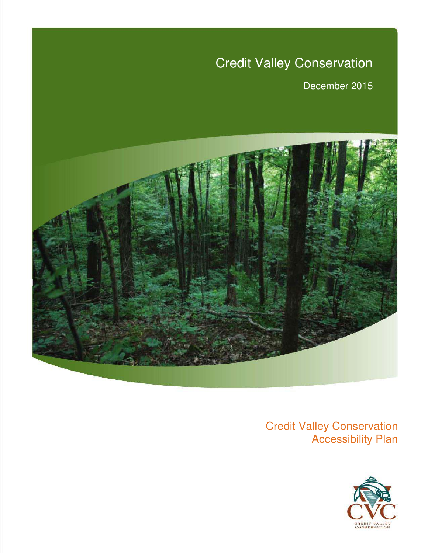# Credit Valley Conservation

December 2015



*Credit Valley Conservation Technical Report Series* 

Credit Valley Conservation Accessibility Plan

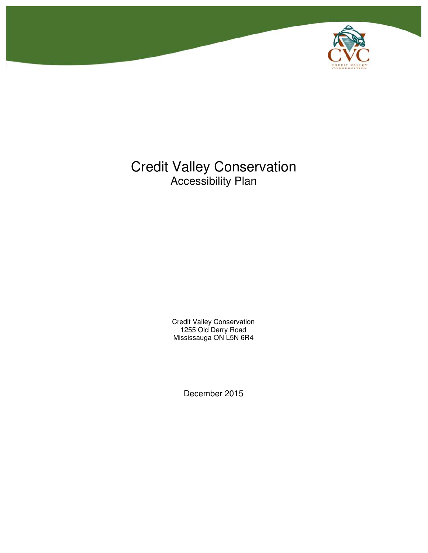

# Credit Valley Conservation Accessibility Plan

Credit Valley Conservation 1255 Old Derry Road Mississauga ON L5N 6R4

December 2015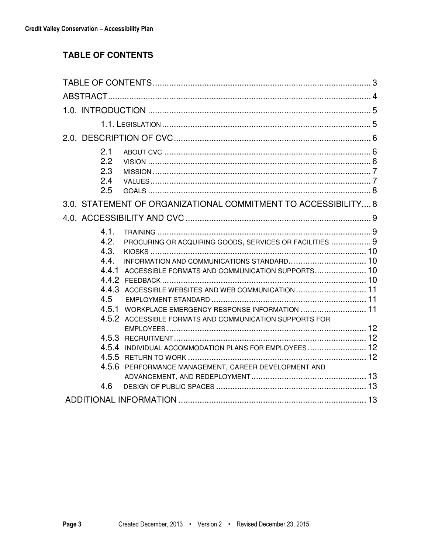# **TABLE OF CONTENTS**

| 2.1<br>2.2<br>2.3<br>2.4<br>2.5                                                                                                                                                                                               |
|-------------------------------------------------------------------------------------------------------------------------------------------------------------------------------------------------------------------------------|
| 3.0. STATEMENT OF ORGANIZATIONAL COMMITMENT TO ACCESSIBILITY 8                                                                                                                                                                |
|                                                                                                                                                                                                                               |
| 4.1.<br>4.2.<br>PROCURING OR ACQUIRING GOODS, SERVICES OR FACILITIES  9<br>4.3.<br>4.4.<br>4.4.1<br>ACCESSIBLE FORMATS AND COMMUNICATION SUPPORTS 10<br>4.4.3<br>4.5<br>WORKPLACE EMERGENCY RESPONSE INFORMATION  11<br>4.5.1 |
| 4.5.2 ACCESSIBLE FORMATS AND COMMUNICATION SUPPORTS FOR<br>4.5.4 INDIVIDUAL ACCOMMODATION PLANS FOR EMPLOYEES 12<br>4.5.6 PERFORMANCE MANAGEMENT, CAREER DEVELOPMENT AND                                                      |
| 4.6                                                                                                                                                                                                                           |
|                                                                                                                                                                                                                               |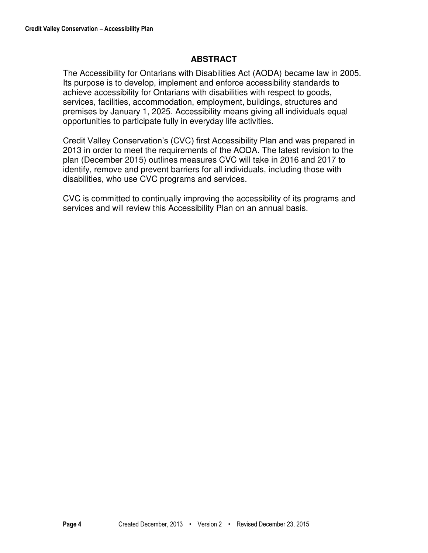# **ABSTRACT**

The Accessibility for Ontarians with Disabilities Act (AODA) became law in 2005. Its purpose is to develop, implement and enforce accessibility standards to achieve accessibility for Ontarians with disabilities with respect to goods, services, facilities, accommodation, employment, buildings, structures and premises by January 1, 2025. Accessibility means giving all individuals equal opportunities to participate fully in everyday life activities.

Credit Valley Conservation's (CVC) first Accessibility Plan and was prepared in 2013 in order to meet the requirements of the AODA. The latest revision to the plan (December 2015) outlines measures CVC will take in 2016 and 2017 to identify, remove and prevent barriers for all individuals, including those with disabilities, who use CVC programs and services.

CVC is committed to continually improving the accessibility of its programs and services and will review this Accessibility Plan on an annual basis.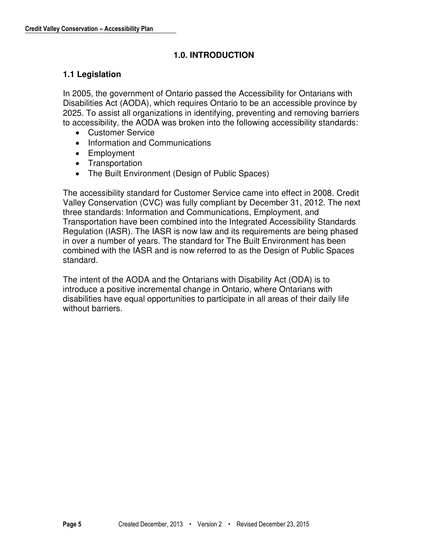# **1.0. INTRODUCTION**

# **1.1 Legislation**

In 2005, the government of Ontario passed the Accessibility for Ontarians with Disabilities Act (AODA), which requires Ontario to be an accessible province by 2025. To assist all organizations in identifying, preventing and removing barriers to accessibility, the AODA was broken into the following accessibility standards:

- Customer Service
- Information and Communications
- Employment
- Transportation
- The Built Environment (Design of Public Spaces)

The accessibility standard for Customer Service came into effect in 2008. Credit Valley Conservation (CVC) was fully compliant by December 31, 2012. The next three standards: Information and Communications, Employment, and Transportation have been combined into the Integrated Accessibility Standards Regulation (IASR). The IASR is now law and its requirements are being phased in over a number of years. The standard for The Built Environment has been combined with the IASR and is now referred to as the Design of Public Spaces standard.

The intent of the AODA and the Ontarians with Disability Act (ODA) is to introduce a positive incremental change in Ontario, where Ontarians with disabilities have equal opportunities to participate in all areas of their daily life without barriers.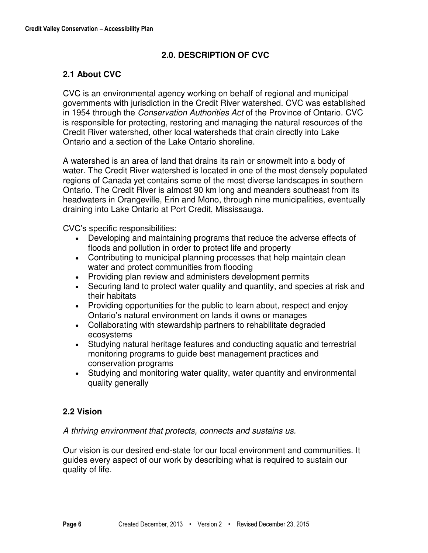# **2.0. DESCRIPTION OF CVC**

# **2.1 About CVC**

CVC is an environmental agency working on behalf of regional and municipal governments with jurisdiction in the Credit River watershed. CVC was established in 1954 through the *Conservation Authorities Act* of the Province of Ontario. CVC is responsible for protecting, restoring and managing the natural resources of the Credit River watershed, other local watersheds that drain directly into Lake Ontario and a section of the Lake Ontario shoreline.

A watershed is an area of land that drains its rain or snowmelt into a body of water. The Credit River watershed is located in one of the most densely populated regions of Canada yet contains some of the most diverse landscapes in southern Ontario. The Credit River is almost 90 km long and meanders southeast from its headwaters in Orangeville, Erin and Mono, through nine municipalities, eventually draining into Lake Ontario at Port Credit, Mississauga.

CVC's specific responsibilities:

- Developing and maintaining programs that reduce the adverse effects of floods and pollution in order to protect life and property
- Contributing to municipal planning processes that help maintain clean water and protect communities from flooding
- Providing plan review and administers development permits
- Securing land to protect water quality and quantity, and species at risk and their habitats
- Providing opportunities for the public to learn about, respect and enjoy Ontario's natural environment on lands it owns or manages
- Collaborating with stewardship partners to rehabilitate degraded ecosystems
- Studying natural heritage features and conducting aquatic and terrestrial monitoring programs to guide best management practices and conservation programs
- Studying and monitoring water quality, water quantity and environmental quality generally

# **2.2 Vision**

*A thriving environment that protects, connects and sustains us.* 

Our vision is our desired end-state for our local environment and communities. It guides every aspect of our work by describing what is required to sustain our quality of life.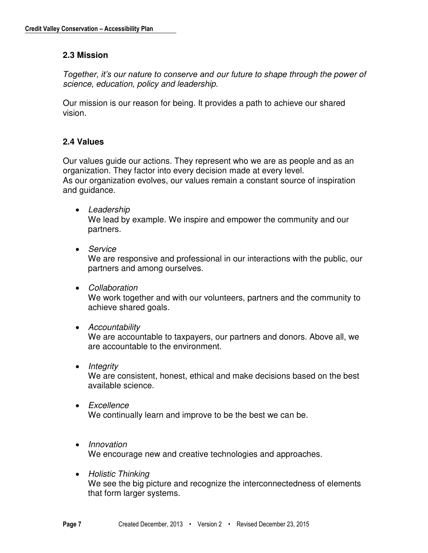#### **2.3 Mission**

*Together, it's our nature to conserve and our future to shape through the power of science, education, policy and leadership.* 

Our mission is our reason for being. It provides a path to achieve our shared vision.

#### **2.4 Values**

Our values guide our actions. They represent who we are as people and as an organization. They factor into every decision made at every level. As our organization evolves, our values remain a constant source of inspiration and guidance.

*Leadership* 

We lead by example. We inspire and empower the community and our partners.

*Service* 

We are responsive and professional in our interactions with the public, our partners and among ourselves.

*Collaboration* 

We work together and with our volunteers, partners and the community to achieve shared goals.

*Accountability* 

We are accountable to taxpayers, our partners and donors. Above all, we are accountable to the environment.

*Integrity* 

We are consistent, honest, ethical and make decisions based on the best available science.

- *Excellence*  We continually learn and improve to be the best we can be.
- *Innovation*

We encourage new and creative technologies and approaches.

 *Holistic Thinking*  We see the big picture and recognize the interconnectedness of elements that form larger systems.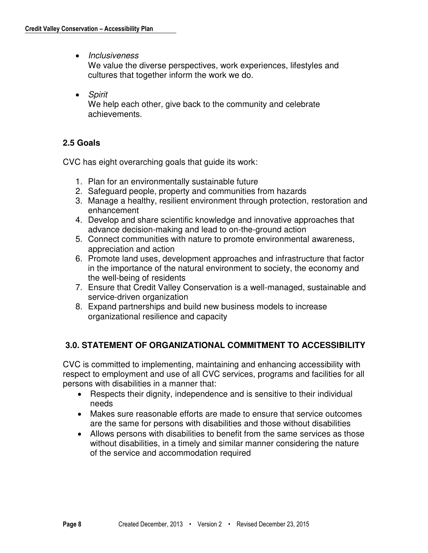*Inclusiveness* 

We value the diverse perspectives, work experiences, lifestyles and cultures that together inform the work we do.

*Spirit* 

We help each other, give back to the community and celebrate achievements.

# **2.5 Goals**

CVC has eight overarching goals that guide its work:

- 1. Plan for an environmentally sustainable future
- 2. Safeguard people, property and communities from hazards
- 3. Manage a healthy, resilient environment through protection, restoration and enhancement
- 4. Develop and share scientific knowledge and innovative approaches that advance decision-making and lead to on-the-ground action
- 5. Connect communities with nature to promote environmental awareness, appreciation and action
- 6. Promote land uses, development approaches and infrastructure that factor in the importance of the natural environment to society, the economy and the well-being of residents
- 7. Ensure that Credit Valley Conservation is a well-managed, sustainable and service-driven organization
- 8. Expand partnerships and build new business models to increase organizational resilience and capacity

# **3.0. STATEMENT OF ORGANIZATIONAL COMMITMENT TO ACCESSIBILITY**

CVC is committed to implementing, maintaining and enhancing accessibility with respect to employment and use of all CVC services, programs and facilities for all persons with disabilities in a manner that:

- Respects their dignity, independence and is sensitive to their individual needs
- Makes sure reasonable efforts are made to ensure that service outcomes are the same for persons with disabilities and those without disabilities
- Allows persons with disabilities to benefit from the same services as those without disabilities, in a timely and similar manner considering the nature of the service and accommodation required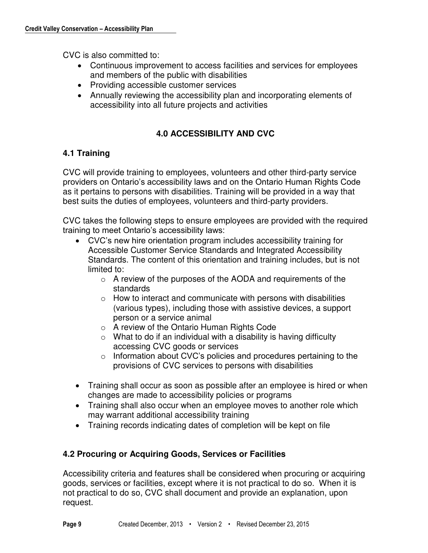CVC is also committed to:

- Continuous improvement to access facilities and services for employees and members of the public with disabilities
- Providing accessible customer services
- Annually reviewing the accessibility plan and incorporating elements of accessibility into all future projects and activities

# **4.0 ACCESSIBILITY AND CVC**

# **4.1 Training**

CVC will provide training to employees, volunteers and other third-party service providers on Ontario's accessibility laws and on the Ontario Human Rights Code as it pertains to persons with disabilities. Training will be provided in a way that best suits the duties of employees, volunteers and third-party providers.

CVC takes the following steps to ensure employees are provided with the required training to meet Ontario's accessibility laws:

- CVC's new hire orientation program includes accessibility training for Accessible Customer Service Standards and Integrated Accessibility Standards. The content of this orientation and training includes, but is not limited to:
	- o A review of the purposes of the AODA and requirements of the standards
	- $\circ$  How to interact and communicate with persons with disabilities (various types), including those with assistive devices, a support person or a service animal
	- o A review of the Ontario Human Rights Code
	- $\circ$  What to do if an individual with a disability is having difficulty accessing CVC goods or services
	- o Information about CVC's policies and procedures pertaining to the provisions of CVC services to persons with disabilities
- Training shall occur as soon as possible after an employee is hired or when changes are made to accessibility policies or programs
- Training shall also occur when an employee moves to another role which may warrant additional accessibility training
- Training records indicating dates of completion will be kept on file

# **4.2 Procuring or Acquiring Goods, Services or Facilities**

Accessibility criteria and features shall be considered when procuring or acquiring goods, services or facilities, except where it is not practical to do so. When it is not practical to do so, CVC shall document and provide an explanation, upon request.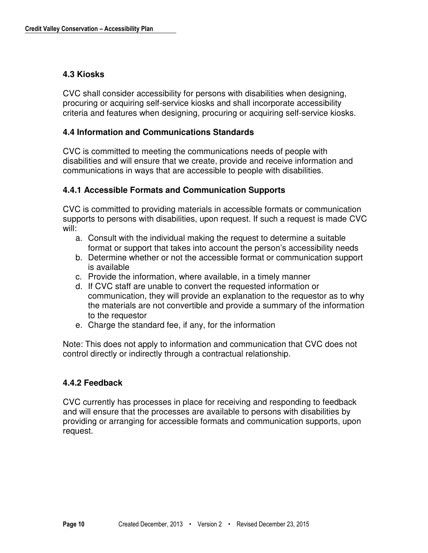#### **4.3 Kiosks**

CVC shall consider accessibility for persons with disabilities when designing, procuring or acquiring self-service kiosks and shall incorporate accessibility criteria and features when designing, procuring or acquiring self-service kiosks.

#### **4.4 Information and Communications Standards**

CVC is committed to meeting the communications needs of people with disabilities and will ensure that we create, provide and receive information and communications in ways that are accessible to people with disabilities.

#### **4.4.1 Accessible Formats and Communication Supports**

CVC is committed to providing materials in accessible formats or communication supports to persons with disabilities, upon request. If such a request is made CVC will:

- a. Consult with the individual making the request to determine a suitable format or support that takes into account the person's accessibility needs
- b. Determine whether or not the accessible format or communication support is available
- c. Provide the information, where available, in a timely manner
- d. If CVC staff are unable to convert the requested information or communication, they will provide an explanation to the requestor as to why the materials are not convertible and provide a summary of the information to the requestor
- e. Charge the standard fee, if any, for the information

Note: This does not apply to information and communication that CVC does not control directly or indirectly through a contractual relationship.

#### **4.4.2 Feedback**

CVC currently has processes in place for receiving and responding to feedback and will ensure that the processes are available to persons with disabilities by providing or arranging for accessible formats and communication supports, upon request.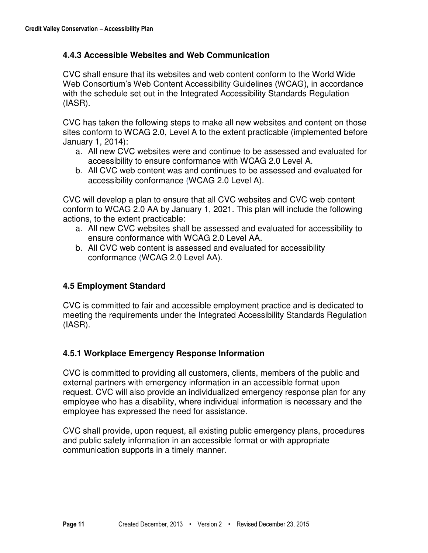#### **4.4.3 Accessible Websites and Web Communication**

CVC shall ensure that its websites and web content conform to the World Wide Web Consortium's Web Content Accessibility Guidelines (WCAG), in accordance with the schedule set out in the Integrated Accessibility Standards Regulation (IASR).

CVC has taken the following steps to make all new websites and content on those sites conform to WCAG 2.0, Level A to the extent practicable (implemented before January 1, 2014):

- a. All new CVC websites were and continue to be assessed and evaluated for accessibility to ensure conformance with WCAG 2.0 Level A.
- b. All CVC web content was and continues to be assessed and evaluated for accessibility conformance (WCAG 2.0 Level A).

CVC will develop a plan to ensure that all CVC websites and CVC web content conform to WCAG 2.0 AA by January 1, 2021. This plan will include the following actions, to the extent practicable:

- a. All new CVC websites shall be assessed and evaluated for accessibility to ensure conformance with WCAG 2.0 Level AA.
- b. All CVC web content is assessed and evaluated for accessibility conformance (WCAG 2.0 Level AA).

#### **4.5 Employment Standard**

CVC is committed to fair and accessible employment practice and is dedicated to meeting the requirements under the Integrated Accessibility Standards Regulation (IASR).

#### **4.5.1 Workplace Emergency Response Information**

CVC is committed to providing all customers, clients, members of the public and external partners with emergency information in an accessible format upon request. CVC will also provide an individualized emergency response plan for any employee who has a disability, where individual information is necessary and the employee has expressed the need for assistance.

CVC shall provide, upon request, all existing public emergency plans, procedures and public safety information in an accessible format or with appropriate communication supports in a timely manner.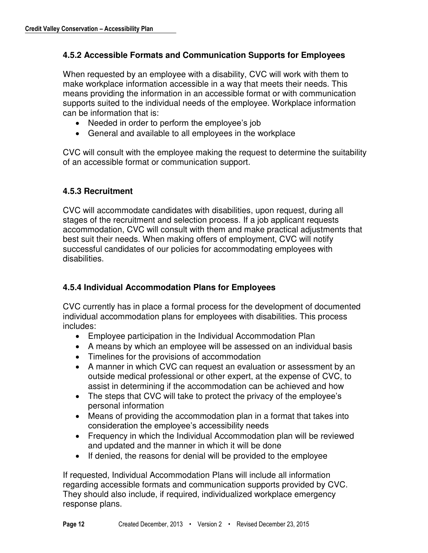#### **4.5.2 Accessible Formats and Communication Supports for Employees**

When requested by an employee with a disability, CVC will work with them to make workplace information accessible in a way that meets their needs. This means providing the information in an accessible format or with communication supports suited to the individual needs of the employee. Workplace information can be information that is:

- Needed in order to perform the employee's job
- General and available to all employees in the workplace

CVC will consult with the employee making the request to determine the suitability of an accessible format or communication support.

#### **4.5.3 Recruitment**

CVC will accommodate candidates with disabilities, upon request, during all stages of the recruitment and selection process. If a job applicant requests accommodation, CVC will consult with them and make practical adjustments that best suit their needs. When making offers of employment, CVC will notify successful candidates of our policies for accommodating employees with disabilities.

#### **4.5.4 Individual Accommodation Plans for Employees**

CVC currently has in place a formal process for the development of documented individual accommodation plans for employees with disabilities. This process includes:

- Employee participation in the Individual Accommodation Plan
- A means by which an employee will be assessed on an individual basis
- Timelines for the provisions of accommodation
- A manner in which CVC can request an evaluation or assessment by an outside medical professional or other expert, at the expense of CVC, to assist in determining if the accommodation can be achieved and how
- The steps that CVC will take to protect the privacy of the employee's personal information
- Means of providing the accommodation plan in a format that takes into consideration the employee's accessibility needs
- Frequency in which the Individual Accommodation plan will be reviewed and updated and the manner in which it will be done
- If denied, the reasons for denial will be provided to the employee

If requested, Individual Accommodation Plans will include all information regarding accessible formats and communication supports provided by CVC. They should also include, if required, individualized workplace emergency response plans.